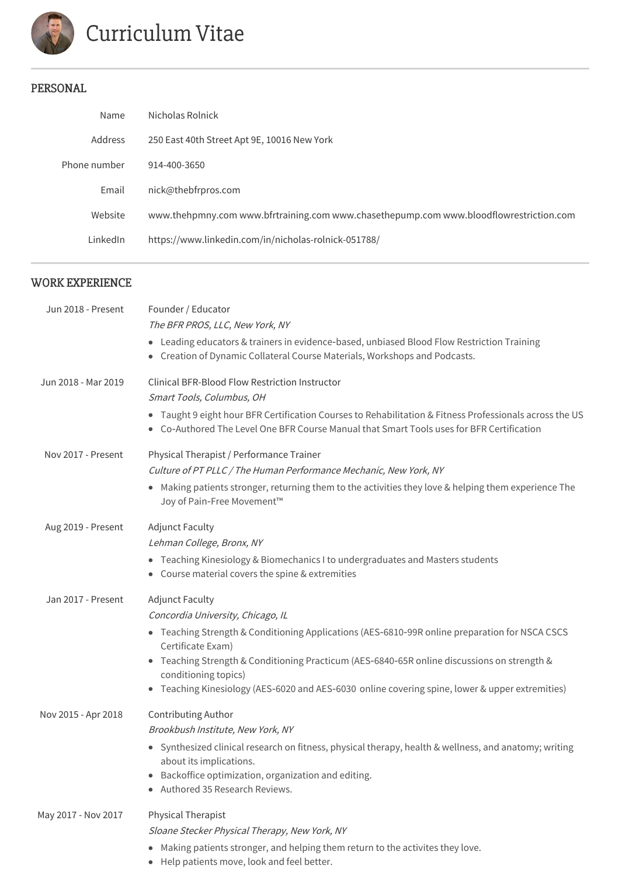

# Curriculum Vitae

# PERSONAL

| Nicholas Rolnick                                                                       |
|----------------------------------------------------------------------------------------|
| 250 East 40th Street Apt 9E, 10016 New York                                            |
| 914-400-3650                                                                           |
| nick@thebfrpros.com                                                                    |
| www.thehpmny.com www.bfrtraining.com www.chasethepump.com www.bloodflowrestriction.com |
| https://www.linkedin.com/in/nicholas-rolnick-051788/                                   |
|                                                                                        |

# WORK EXPERIENCE

| Jun 2018 - Present  | Founder / Educator<br>The BFR PROS, LLC, New York, NY                                                                                                                                                |
|---------------------|------------------------------------------------------------------------------------------------------------------------------------------------------------------------------------------------------|
|                     | • Leading educators & trainers in evidence-based, unbiased Blood Flow Restriction Training<br>Creation of Dynamic Collateral Course Materials, Workshops and Podcasts.                               |
| Jun 2018 - Mar 2019 | Clinical BFR-Blood Flow Restriction Instructor                                                                                                                                                       |
|                     | Smart Tools, Columbus, OH                                                                                                                                                                            |
|                     | • Taught 9 eight hour BFR Certification Courses to Rehabilitation & Fitness Professionals across the US<br>• Co-Authored The Level One BFR Course Manual that Smart Tools uses for BFR Certification |
| Nov 2017 - Present  | Physical Therapist / Performance Trainer                                                                                                                                                             |
|                     | Culture of PT PLLC / The Human Performance Mechanic, New York, NY                                                                                                                                    |
|                     | Making patients stronger, returning them to the activities they love & helping them experience The<br>Joy of Pain-Free Movement™                                                                     |
| Aug 2019 - Present  | <b>Adjunct Faculty</b>                                                                                                                                                                               |
|                     | Lehman College, Bronx, NY                                                                                                                                                                            |
|                     | • Teaching Kinesiology & Biomechanics I to undergraduates and Masters students<br>• Course material covers the spine & extremities                                                                   |
| Jan 2017 - Present  | <b>Adjunct Faculty</b>                                                                                                                                                                               |
|                     | Concordia University, Chicago, IL                                                                                                                                                                    |
|                     | • Teaching Strength & Conditioning Applications (AES-6810-99R online preparation for NSCA CSCS<br>Certificate Exam)                                                                                  |
|                     | • Teaching Strength & Conditioning Practicum (AES-6840-65R online discussions on strength &<br>conditioning topics)                                                                                  |
|                     | Teaching Kinesiology (AES-6020 and AES-6030 online covering spine, lower & upper extremities)                                                                                                        |
| Nov 2015 - Apr 2018 | Contributing Author                                                                                                                                                                                  |
|                     | Brookbush Institute, New York, NY                                                                                                                                                                    |
|                     | Synthesized clinical research on fitness, physical therapy, health & wellness, and anatomy; writing<br>about its implications.                                                                       |
|                     | Backoffice optimization, organization and editing.<br>Authored 35 Research Reviews.                                                                                                                  |
| May 2017 - Nov 2017 | Physical Therapist                                                                                                                                                                                   |
|                     | Sloane Stecker Physical Therapy, New York, NY                                                                                                                                                        |
|                     | Making patients stronger, and helping them return to the activites they love.<br>• Help patients move, look and feel better.                                                                         |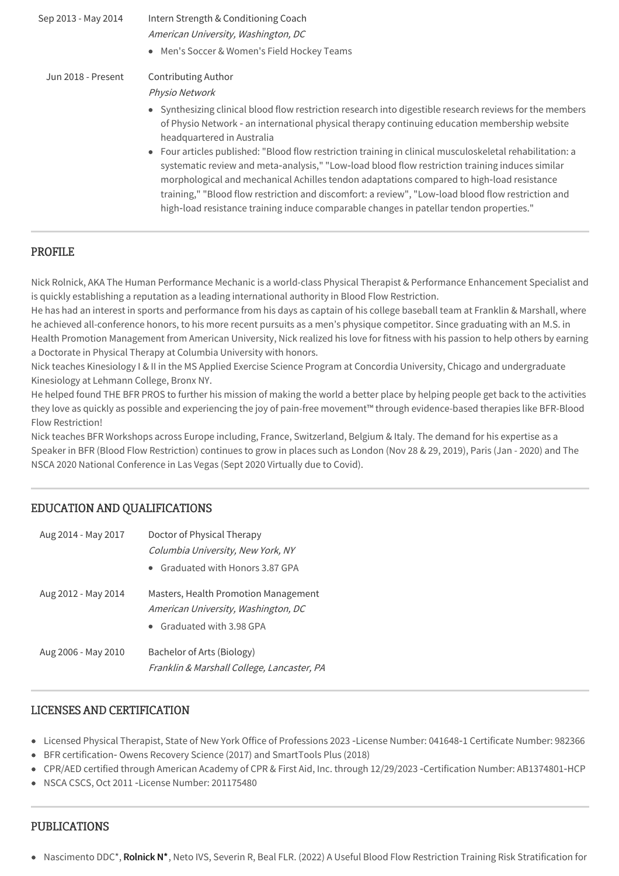| Sep 2013 - May 2014 | Intern Strength & Conditioning Coach<br>American University, Washington, DC                                                                                                                                                                                                                                                                                                                                                                                                                                                                                                                                                                                                                                |
|---------------------|------------------------------------------------------------------------------------------------------------------------------------------------------------------------------------------------------------------------------------------------------------------------------------------------------------------------------------------------------------------------------------------------------------------------------------------------------------------------------------------------------------------------------------------------------------------------------------------------------------------------------------------------------------------------------------------------------------|
|                     | • Men's Soccer & Women's Field Hockey Teams                                                                                                                                                                                                                                                                                                                                                                                                                                                                                                                                                                                                                                                                |
| Jun 2018 - Present  | <b>Contributing Author</b><br>Physio Network<br>• Synthesizing clinical blood flow restriction research into digestible research reviews for the members<br>of Physio Network - an international physical therapy continuing education membership website<br>headquartered in Australia<br>• Four articles published: "Blood flow restriction training in clinical musculoskeletal rehabilitation: a<br>systematic review and meta-analysis," "Low-load blood flow restriction training induces similar<br>morphological and mechanical Achilles tendon adaptations compared to high-load resistance<br>training," "Blood flow restriction and discomfort: a review", "Low-load blood flow restriction and |
|                     | high-load resistance training induce comparable changes in patellar tendon properties."                                                                                                                                                                                                                                                                                                                                                                                                                                                                                                                                                                                                                    |

# PROFILE

Nick Rolnick, AKA The Human Performance Mechanic is a world-class Physical Therapist & Performance Enhancement Specialist and is quickly establishing a reputation as a leading international authority in Blood Flow Restriction.

He has had an interest in sports and performance from his days as captain of his college baseball team at Franklin & Marshall, where he achieved all-conference honors, to his more recent pursuits as a men's physique competitor. Since graduating with an M.S. in Health Promotion Management from American University, Nick realized his love for fitness with his passion to help others by earning a Doctorate in Physical Therapy at Columbia University with honors.

Nick teaches Kinesiology I & II in the MS Applied Exercise Science Program at Concordia University, Chicago and undergraduate Kinesiology at Lehmann College, Bronx NY.

He helped found THE BFR PROS to further his mission of making the world a better place by helping people get back to the activities they love as quickly as possible and experiencing the joy of pain-free movement™ through evidence-based therapies like BFR-Blood Flow Restriction!

Nick teaches BFR Workshops across Europe including, France, Switzerland, Belgium & Italy. The demand for his expertise as a Speaker in BFR (Blood Flow Restriction) continues to grow in places such as London (Nov 28 & 29, 2019), Paris (Jan - 2020) and The NSCA 2020 National Conference in Las Vegas (Sept 2020 Virtually due to Covid).

#### EDUCATION AND QUALIFICATIONS

| Aug 2014 - May 2017 | Doctor of Physical Therapy                                                                               |
|---------------------|----------------------------------------------------------------------------------------------------------|
|                     | Columbia University, New York, NY                                                                        |
|                     | • Graduated with Honors 3.87 GPA                                                                         |
| Aug 2012 - May 2014 | Masters, Health Promotion Management<br>American University, Washington, DC<br>• Graduated with 3.98 GPA |
| Aug 2006 - May 2010 | Bachelor of Arts (Biology)<br>Franklin & Marshall College, Lancaster, PA                                 |

# LICENSES AND CERTIFICATION

- Licensed Physical Therapist, State of New York Office of Professions 2023 ‑License Number: 041648‑1 Certificate Number: 982366
- BFR certification- Owens Recovery Science (2017) and SmartTools Plus (2018)
- CPR/AED certified through American Academy of CPR & First Aid, Inc. through 12/29/2023 ‑Certification Number: AB1374801‑HCP
- NSCA CSCS, Oct 2011 License Number: 201175480

#### PUBLICATIONS

• Nascimento DDC\*, Rolnick N\*, Neto IVS, Severin R, Beal FLR. (2022) A Useful Blood Flow Restriction Training Risk Stratification for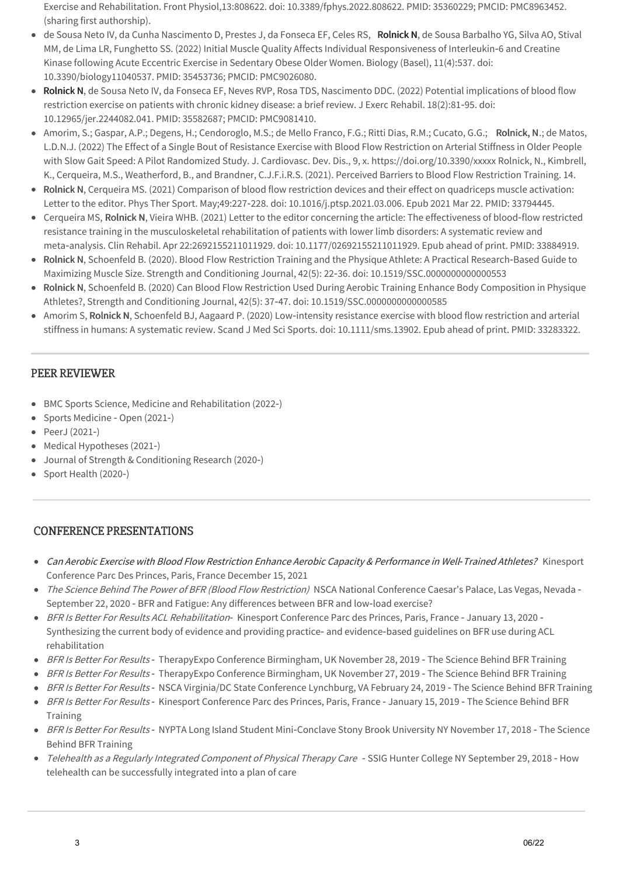Exercise and Rehabilitation. Front Physiol,13:808622. doi: 10.3389/fphys.2022.808622. PMID: 35360229; PMCID: PMC8963452. (sharing first authorship).

- de Sousa Neto IV, da Cunha Nascimento D, Prestes J, da Fonseca EF, Celes RS, Rolnick N, de Sousa Barbalho YG, Silva AO, Stival MM, de Lima LR, Funghetto SS. (2022) Initial Muscle Quality Affects Individual Responsiveness of Interleukin-6 and Creatine Kinase following Acute Eccentric Exercise in Sedentary Obese Older Women. Biology (Basel), 11(4):537. doi: 10.3390/biology11040537. PMID: 35453736; PMCID: PMC9026080.
- Rolnick N, de Sousa Neto IV, da Fonseca EF, Neves RVP, Rosa TDS, Nascimento DDC. (2022) Potential implications of blood flow restriction exercise on patients with chronic kidney disease: a brief review. J Exerc Rehabil. 18(2):81‑95. doi: 10.12965/jer.2244082.041. PMID: 35582687; PMCID: PMC9081410.
- Amorim, S.; Gaspar, A.P.; Degens, H.; Cendoroglo, M.S.; de Mello Franco, F.G.; Ritti Dias, R.M.; Cucato, G.G.; Rolnick, N.; de Matos, L.D.N.J. (2022) The Effect of a Single Bout of Resistance Exercise with Blood Flow Restriction on Arterial Stiffness in Older People with Slow Gait Speed: A Pilot Randomized Study. J. Cardiovasc. Dev. Dis., 9, x. https://doi.org/10.3390/xxxxx Rolnick, N., Kimbrell, K., Cerqueira, M.S., Weatherford, B., and Brandner, C.J.F.i.R.S. (2021). Perceived Barriers to Blood Flow Restriction Training. 14.
- Rolnick N, Cerqueira MS. (2021) Comparison of blood flow restriction devices and their effect on quadriceps muscle activation: Letter to the editor. Phys Ther Sport. May;49:227‑228. doi: 10.1016/j.ptsp.2021.03.006. Epub 2021 Mar 22. PMID: 33794445.
- Cerqueira MS, Rolnick N, Vieira WHB. (2021) Letter to the editor concerning the article: The effectiveness of blood-flow restricted resistance training in the musculoskeletal rehabilitation of patients with lower limb disorders: A systematic review and meta‑analysis. Clin Rehabil. Apr 22:2692155211011929. doi: 10.1177/02692155211011929. Epub ahead of print. PMID: 33884919.
- Rolnick N, Schoenfeld B. (2020). Blood Flow Restriction Training and the Physique Athlete: A Practical Research-Based Guide to Maximizing Muscle Size. Strength and Conditioning Journal, 42(5): 22‑36. doi: 10.1519/SSC.0000000000000553
- Rolnick N, Schoenfeld B. (2020) Can Blood Flow Restriction Used During Aerobic Training Enhance Body Composition in Physique  $\bullet$ Athletes?, Strength and Conditioning Journal, 42(5): 37‑47. doi: 10.1519/SSC.0000000000000585
- Amorim S, Rolnick N, Schoenfeld BJ, Aagaard P. (2020) Low-intensity resistance exercise with blood flow restriction and arterial  $\bullet$ stiffness in humans: A systematic review. Scand J Med Sci Sports. doi: 10.1111/sms.13902. Epub ahead of print. PMID: 33283322.

# PEER REVIEWER

- BMC Sports Science, Medicine and Rehabilitation (2022‑)
- Sports Medicine Open (2021-)
- PeerJ (2021‑)
- Medical Hypotheses (2021‑)
- Journal of Strength & Conditioning Research (2020‑)
- Sport Health (2020‑)

#### CONFERENCE PRESENTATIONS

- Can Aerobic Exercise with Blood Flow Restriction Enhance Aerobic Capacity & Performance in Well‑Trained Athletes? Kinesport Conference Parc Des Princes, Paris, France December 15, 2021
- The Science Behind The Power of BFR (Blood Flow Restriction) NSCA National Conference Caesar's Palace, Las Vegas, Nevada -September 22, 2020 ‑ BFR and Fatigue: Any differences between BFR and low‑load exercise?
- BFR Is Better For Results ACL Rehabilitation Kinesport Conference Parc des Princes, Paris, France January 13, 2020 -Synthesizing the current body of evidence and providing practice‑ and evidence‑based guidelines on BFR use during ACL rehabilitation
- BFR Is Better For Results TherapyExpo Conference Birmingham, UK November 28, 2019 The Science Behind BFR Training
- BFR Is Better For Results TherapyExpo Conference Birmingham, UK November 27, 2019 The Science Behind BFR Training
- BFR Is Better For Results NSCA Virginia/DC State Conference Lynchburg, VA February 24, 2019 The Science Behind BFR Training
- BFR Is Better For Results Kinesport Conference Parc des Princes, Paris, France January 15, 2019 The Science Behind BFR Training
- BFR Is Better For Results NYPTA Long Island Student Mini-Conclave Stony Brook University NY November 17, 2018 The Science Behind BFR Training
- Telehealth as a Regularly Integrated Component of Physical Therapy Care SSIG Hunter College NY September 29, 2018 How telehealth can be successfully integrated into a plan of care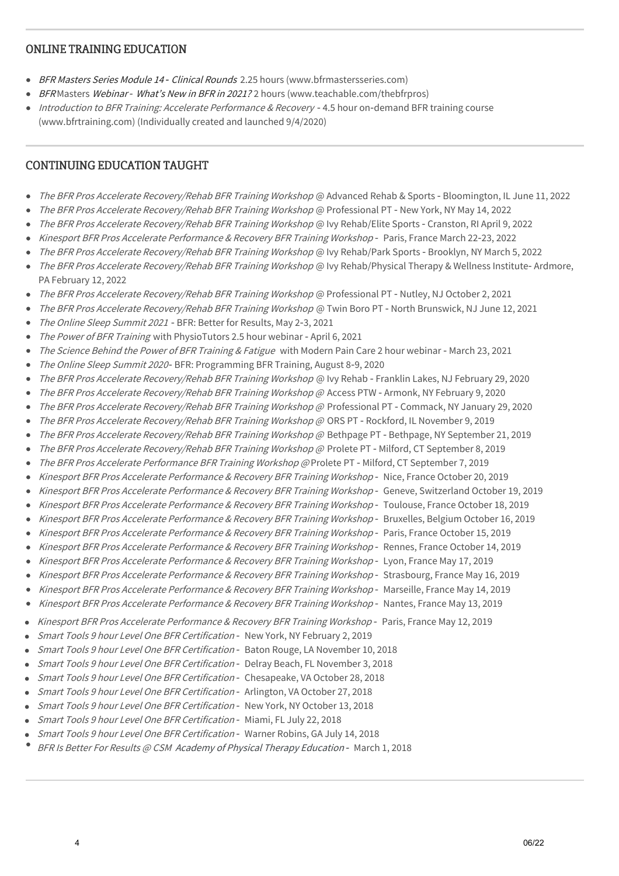#### ONLINE TRAINING EDUCATION

- BFR Masters Series Module 14 Clinical Rounds 2.25 hours (www.bfrmastersseries.com)
- BFR Masters Webinar What's New in BFR in 2021? 2 hours (www.teachable.com/thebfrpros)  $\bullet$
- Introduction to BFR Training: Accelerate Performance & Recovery 4.5 hour on-demand BFR training course (www.bfrtraining.com) (Individually created and launched 9/4/2020)

# CONTINUING EDUCATION TAUGHT

- The BFR Pros Accelerate Recovery/Rehab BFR Training Workshop @ Advanced Rehab & Sports Bloomington, IL June 11, 2022  $\bullet$
- The BFR Pros Accelerate Recovery/Rehab BFR Training Workshop @ Professional PT ‑ New York, NY May 14, 2022
- The BFR Pros Accelerate Recovery/Rehab BFR Training Workshop @ Ivy Rehab/Elite Sports ‑ Cranston, RI April 9, 2022
- Kinesport BFR Pros Accelerate Performance & Recovery BFR Training Workshop Paris, France March 22-23, 2022
- The BFR Pros Accelerate Recovery/Rehab BFR Training Workshop @ Ivy Rehab/Park Sports Brooklyn, NY March 5, 2022
- The BFR Pros Accelerate Recovery/Rehab BFR Training Workshop @ Ivy Rehab/Physical Therapy & Wellness Institute-Ardmore, PA February 12, 2022
- The BFR Pros Accelerate Recovery/Rehab BFR Training Workshop @ Professional PT Nutley, NJ October 2, 2021
- The BFR Pros Accelerate Recovery/Rehab BFR Training Workshop @ Twin Boro PT North Brunswick, NJ June 12, 2021
- The Online Sleep Summit 2021 BFR: Better for Results, May 2-3, 2021
- The Power of BFR Training with PhysioTutors 2.5 hour webinar April 6, 2021
- The Science Behind the Power of BFR Training & Fatigue with Modern Pain Care 2 hour webinar March 23, 2021
- The Online Sleep Summit 2020‑ BFR: Programming BFR Training, August 8‑9, 2020
- The BFR Pros Accelerate Recovery/Rehab BFR Training Workshop @ Ivy Rehab Franklin Lakes, NJ February 29, 2020
- The BFR Pros Accelerate Recovery/Rehab BFR Training Workshop @ Access PTW Armonk, NY February 9, 2020
- The BFR Pros Accelerate Recovery/Rehab BFR Training Workshop @ Professional PT Commack, NY January 29, 2020
- The BFR Pros Accelerate Recovery/Rehab BFR Training Workshop @ ORS PT Rockford, IL November 9, 2019
- The BFR Pros Accelerate Recovery/Rehab BFR Training Workshop @ Bethpage PT Bethpage, NY September 21, 2019
- The BFR Pros Accelerate Recovery/Rehab BFR Training Workshop @ Prolete PT Milford, CT September 8, 2019
- The BFR Pros Accelerate Performance BFR Training Workshop @ Prolete PT Milford, CT September 7, 2019
- Kinesport BFR Pros Accelerate Performance & Recovery BFR Training Workshop Nice, France October 20, 2019
- Kinesport BFR Pros Accelerate Performance & Recovery BFR Training Workshop ‑ Geneve, Switzerland October 19, 2019  $\bullet$
- Kinesport BFR Pros Accelerate Performance & Recovery BFR Training Workshop ‑ Toulouse, France October 18, 2019
- Kinesport BFR Pros Accelerate Performance & Recovery BFR Training Workshop ‑ Bruxelles, Belgium October 16, 2019
- Kinesport BFR Pros Accelerate Performance & Recovery BFR Training Workshop ‑ Paris, France October 15, 2019  $\bullet$
- Kinesport BFR Pros Accelerate Performance & Recovery BFR Training Workshop ‑ Rennes, France October 14, 2019
- $\bullet$ Kinesport BFR Pros Accelerate Performance & Recovery BFR Training Workshop - Lyon, France May 17, 2019
- Kinesport BFR Pros Accelerate Performance & Recovery BFR Training Workshop ‑ Strasbourg, France May 16, 2019
- Kinesport BFR Pros Accelerate Performance & Recovery BFR Training Workshop ‑ Marseille, France May 14, 2019
- Kinesport BFR Pros Accelerate Performance & Recovery BFR Training Workshop Nantes, France May 13, 2019
- Kinesport BFR Pros Accelerate Performance & Recovery BFR Training Workshop Paris, France May 12, 2019
- Smart Tools 9 hour Level One BFR Certification ‑ New York, NY February 2, 2019
- Smart Tools 9 hour Level One BFR Certification Baton Rouge, LA November 10, 2018
- Smart Tools 9 hour Level One BFR Certification ‑ Delray Beach, FL November 3, 2018
- Smart Tools 9 hour Level One BFR Certification ‑ Chesapeake, VA October 28, 2018
- Smart Tools 9 hour Level One BFR Certification ‑ Arlington, VA October 27, 2018
- Smart Tools 9 hour Level One BFR Certification ‑ New York, NY October 13, 2018
- Smart Tools 9 hour Level One BFR Certification ‑ Miami, FL July 22, 2018
- Smart Tools 9 hour Level One BFR Certification ‑ Warner Robins, GA July 14, 2018
- BFR Is Better For Results @ CSM Academy of Physical Therapy Education March 1, 2018